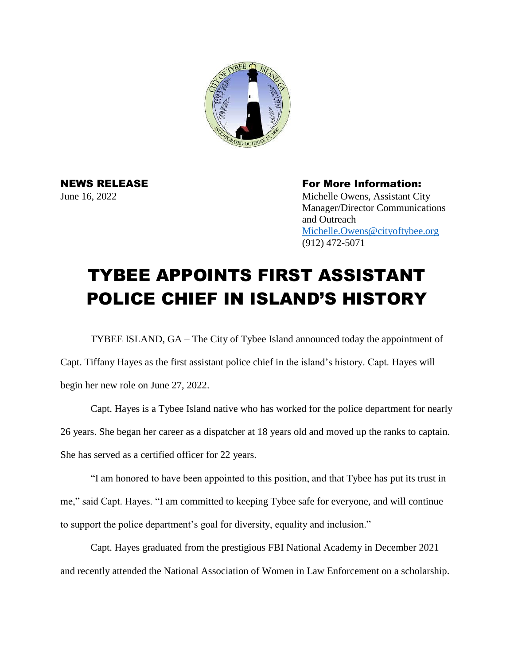

NEWS RELEASE For More Information: June 16, 2022 Michelle Owens, Assistant City Manager/Director Communications and Outreach [Michelle.Owens@cityoftybee.org](mailto:Michelle.Owens@cityoftybee.org) (912) 472-5071

## TYBEE APPOINTS FIRST ASSISTANT POLICE CHIEF IN ISLAND'S HISTORY

TYBEE ISLAND, GA – The City of Tybee Island announced today the appointment of Capt. Tiffany Hayes as the first assistant police chief in the island's history. Capt. Hayes will begin her new role on June 27, 2022.

Capt. Hayes is a Tybee Island native who has worked for the police department for nearly 26 years. She began her career as a dispatcher at 18 years old and moved up the ranks to captain. She has served as a certified officer for 22 years.

"I am honored to have been appointed to this position, and that Tybee has put its trust in me," said Capt. Hayes. "I am committed to keeping Tybee safe for everyone, and will continue to support the police department's goal for diversity, equality and inclusion."

Capt. Hayes graduated from the prestigious FBI National Academy in December 2021 and recently attended the National Association of Women in Law Enforcement on a scholarship.